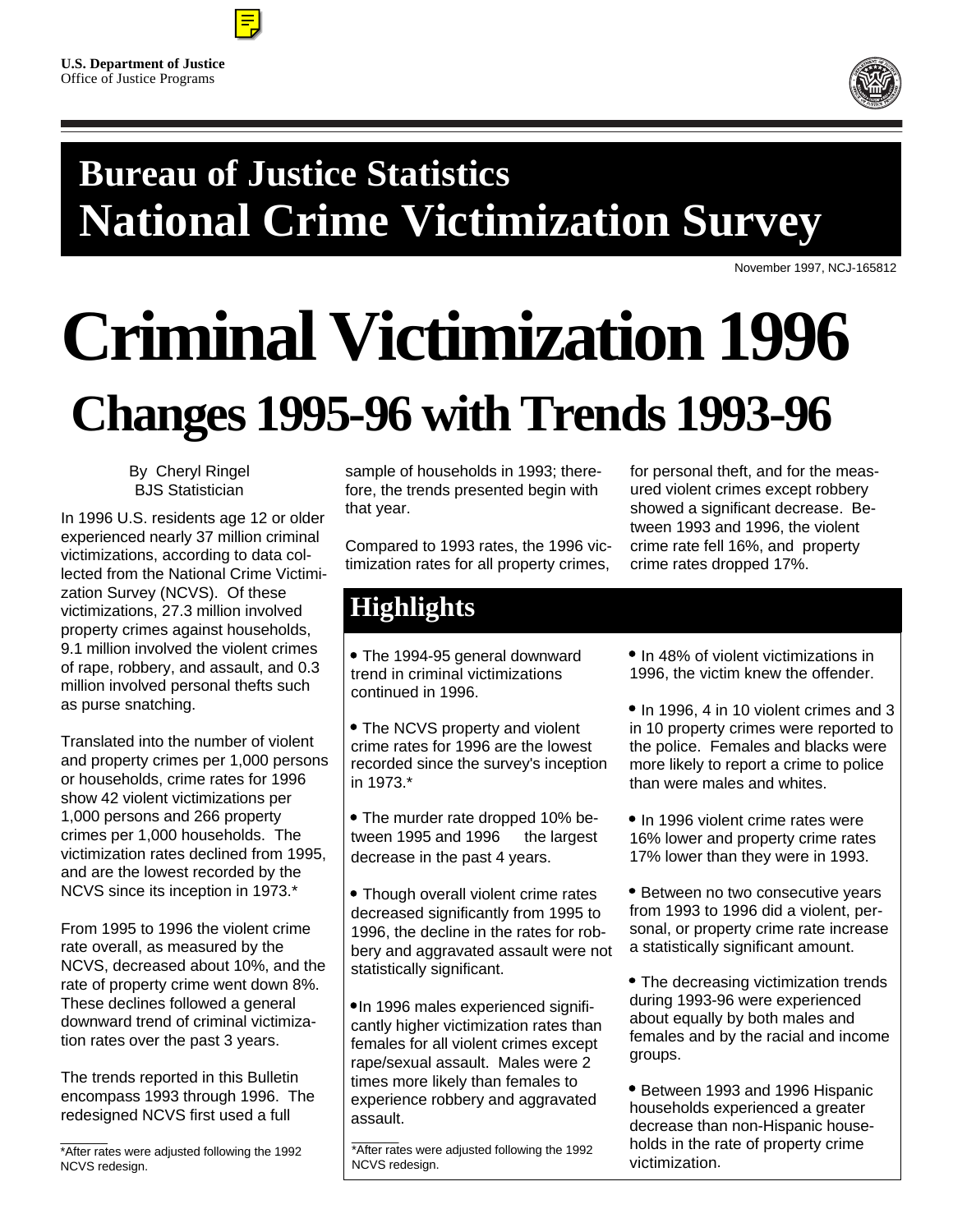



## **Bureau of Justice Statistics National Crime Victimization Survey**

November 1997, NCJ-165812

# **Criminal Victimization 1996 Changes 1995-96 with Trends 1993-96**

By Cheryl Ringel BJS Statistician

In 1996 U.S. residents age 12 or older experienced nearly 37 million criminal victimizations, according to data collected from the National Crime Victimization Survey (NCVS). Of these victimizations, 27.3 million involved property crimes against households, 9.1 million involved the violent crimes of rape, robbery, and assault, and 0.3 million involved personal thefts such as purse snatching.

Translated into the number of violent and property crimes per 1,000 persons or households, crime rates for 1996 show 42 violent victimizations per 1,000 persons and 266 property crimes per 1,000 households. The victimization rates declined from 1995, and are the lowest recorded by the NCVS since its inception in 1973.\*

From 1995 to 1996 the violent crime rate overall, as measured by the NCVS, decreased about 10%, and the rate of property crime went down 8%. These declines followed a general downward trend of criminal victimization rates over the past 3 years.

The trends reported in this Bulletin encompass 1993 through 1996. The redesigned NCVS first used a full

sample of households in 1993; therefore, the trends presented begin with that year.

Compared to 1993 rates, the 1996 victimization rates for all property crimes,

for personal theft, and for the measured violent crimes except robbery showed a significant decrease. Between 1993 and 1996, the violent crime rate fell 16%, and property crime rates dropped 17%.

### **Highlights**

 The 1994-95 general downward trend in criminal victimizations continued in 1996.

 The NCVS property and violent crime rates for 1996 are the lowest recorded since the survey's inception in 1973.\*

 The murder rate dropped 10% between 1995 and 1996  $-$  the largest decrease in the past 4 years.

• Though overall violent crime rates decreased significantly from 1995 to 1996, the decline in the rates for robbery and aggravated assault were not statistically significant.

•In 1996 males experienced significantly higher victimization rates than females for all violent crimes except rape/sexual assault. Males were 2 times more likely than females to experience robbery and aggravated assault.

 $\mathcal{L}$ \*After rates were adjusted following the 1992 NCVS redesign.

• In 48% of violent victimizations in 1996, the victim knew the offender.

- In 1996, 4 in 10 violent crimes and 3 in 10 property crimes were reported to the police. Females and blacks were more likely to report a crime to police than were males and whites.
- In 1996 violent crime rates were 16% lower and property crime rates 17% lower than they were in 1993.
- Between no two consecutive years from 1993 to 1996 did a violent, personal, or property crime rate increase a statistically significant amount.
- The decreasing victimization trends during 1993-96 were experienced about equally by both males and females and by the racial and income groups.
- Between 1993 and 1996 Hispanic households experienced a greater decrease than non-Hispanic households in the rate of property crime victimization.

 $\overline{\phantom{a}}$ \*After rates were adjusted following the 1992 NCVS redesign.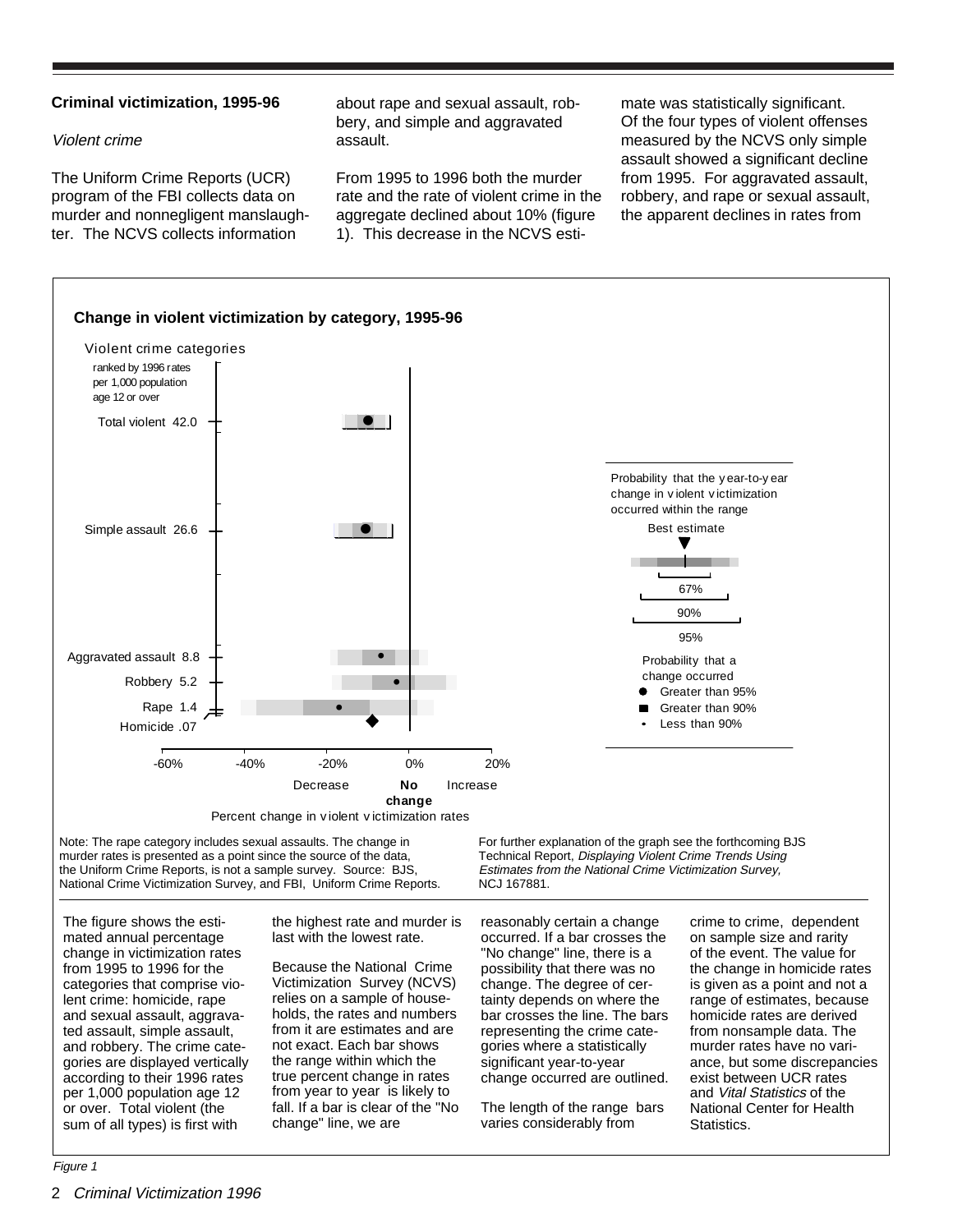#### **Criminal victimization, 1995-96**

#### Violent crime

The Uniform Crime Reports (UCR) program of the FBI collects data on murder and nonnegligent manslaughter. The NCVS collects information

about rape and sexual assault, robbery, and simple and aggravated assault.

From 1995 to 1996 both the murder rate and the rate of violent crime in the aggregate declined about 10% (figure 1). This decrease in the NCVS estimate was statistically significant. Of the four types of violent offenses measured by the NCVS only simple assault showed a significant decline from 1995. For aggravated assault, robbery, and rape or sexual assault, the apparent declines in rates from



The figure shows the estimated annual percentage change in victimization rates from 1995 to 1996 for the categories that comprise violent crime: homicide, rape and sexual assault, aggravated assault, simple assault, and robbery. The crime categories are displayed vertically according to their 1996 rates per 1,000 population age 12 or over. Total violent (the sum of all types) is first with

the highest rate and murder is last with the lowest rate.

Because the National Crime Victimization Survey (NCVS) relies on a sample of households, the rates and numbers from it are estimates and are not exact. Each bar shows the range within which the true percent change in rates from year to year is likely to fall. If a bar is clear of the "No change" line, we are

reasonably certain a change occurred. If a bar crosses the "No change" line, there is a possibility that there was no change. The degree of certainty depends on where the bar crosses the line. The bars representing the crime categories where a statistically significant year-to-year change occurred are outlined.

The length of the range bars varies considerably from

crime to crime, dependent on sample size and rarity of the event. The value for the change in homicide rates is given as a point and not a range of estimates, because homicide rates are derived from nonsample data. The murder rates have no variance, but some discrepancies exist between UCR rates and Vital Statistics of the National Center for Health Statistics.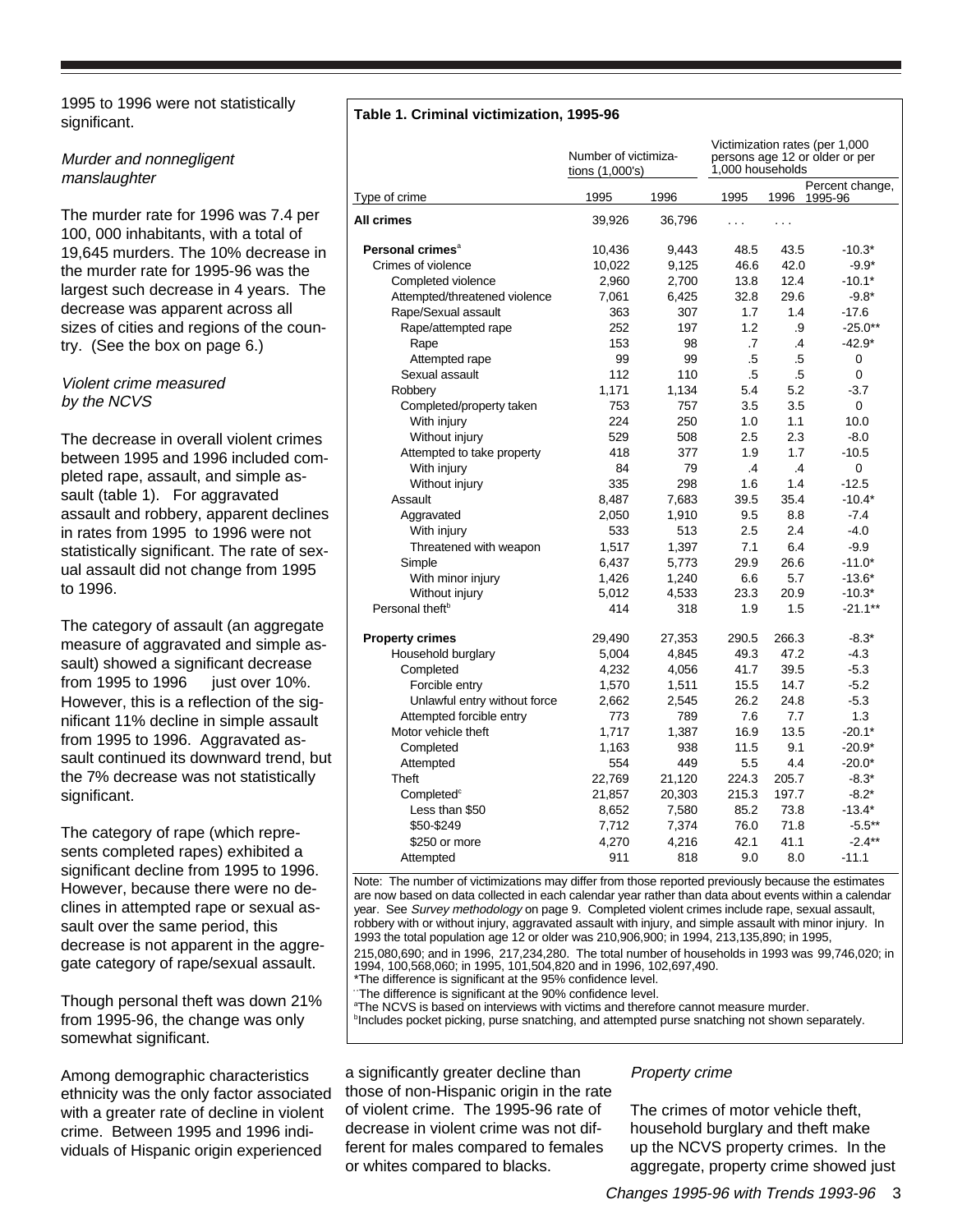1995 to 1996 were not statistically significant.

#### Murder and nonnegligent manslaughter

The murder rate for 1996 was 7.4 per 100, 000 inhabitants, with a total of 19,645 murders. The 10% decrease in the murder rate for 1995-96 was the largest such decrease in 4 years. The decrease was apparent across all sizes of cities and regions of the country. (See the box on page 6.)

#### Violent crime measured by the NCVS

The decrease in overall violent crimes between 1995 and 1996 included completed rape, assault, and simple assault (table 1). For aggravated assault and robbery, apparent declines in rates from 1995 to 1996 were not statistically significant. The rate of sexual assault did not change from 1995 to 1996.

The category of assault (an aggregate measure of aggravated and simple assault) showed a significant decrease from 1995 to 1996  $-$  just over 10%. However, this is a reflection of the significant 11% decline in simple assault from 1995 to 1996. Aggravated assault continued its downward trend, but the 7% decrease was not statistically significant.

The category of rape (which represents completed rapes) exhibited a significant decline from 1995 to 1996. However, because there were no declines in attempted rape or sexual assault over the same period, this decrease is not apparent in the aggregate category of rape/sexual assault.

Though personal theft was down 21% from 1995-96, the change was only somewhat significant.

Among demographic characteristics ethnicity was the only factor associated with a greater rate of decline in violent crime. Between 1995 and 1996 individuals of Hispanic origin experienced

#### **Table 1. Criminal victimization, 1995-96**

|                               | Number of victimiza-<br>tions (1,000's) | Victimization rates (per 1,000<br>persons age 12 or older or per<br>1,000 households |                |               |                                 |
|-------------------------------|-----------------------------------------|--------------------------------------------------------------------------------------|----------------|---------------|---------------------------------|
| Type of crime                 | 1995                                    | 1996                                                                                 | 1995           |               | Percent change,<br>1996 1995-96 |
| All crimes                    | 39,926                                  | 36,796                                                                               | $\cdots$       | $\cdots$      |                                 |
| Personal crimes <sup>a</sup>  | 10,436                                  | 9,443                                                                                | 48.5           | 43.5          | $-10.3*$                        |
| Crimes of violence            | 10,022                                  | 9,125                                                                                | 46.6           | 42.0          | $-9.9*$                         |
| Completed violence            | 2,960                                   | 2,700                                                                                | 13.8           | 12.4          | $-10.1*$                        |
| Attempted/threatened violence | 7,061                                   | 6,425                                                                                | 32.8           | 29.6          | $-9.8*$                         |
| Rape/Sexual assault           | 363                                     | 307                                                                                  | 1.7            | 1.4           | $-17.6$                         |
| Rape/attempted rape           | 252                                     | 197                                                                                  | 1.2            | .9            | $-25.0**$                       |
| Rape                          | 153                                     | 98                                                                                   | .7             | $\mathcal{A}$ | $-42.9*$                        |
| Attempted rape                | 99                                      | 99                                                                                   | .5             | .5            | 0                               |
| Sexual assault                | 112                                     | 110                                                                                  | .5             | .5            | 0                               |
| Robbery                       | 1,171                                   | 1,134                                                                                | 5.4            | 5.2           | $-3.7$                          |
| Completed/property taken      | 753                                     | 757                                                                                  | 3.5            | 3.5           | 0                               |
| With injury                   | 224                                     | 250                                                                                  | 1.0            | 1.1           | 10.0                            |
| Without injury                | 529                                     | 508                                                                                  | 2.5            | 2.3           | $-8.0$                          |
| Attempted to take property    | 418                                     | 377                                                                                  | 1.9            | 1.7           | $-10.5$                         |
| With injury                   | 84                                      | 79                                                                                   | $\overline{A}$ | .4            | 0                               |
| Without injury                | 335                                     | 298                                                                                  | 1.6            | 1.4           | $-12.5$                         |
| Assault                       | 8,487                                   | 7,683                                                                                | 39.5           | 35.4          | $-10.4*$                        |
| Aggravated                    | 2,050                                   | 1,910                                                                                | 9.5            | 8.8           | $-7.4$                          |
| With injury                   | 533                                     | 513                                                                                  | 2.5            | 2.4           | $-4.0$                          |
| Threatened with weapon        | 1,517                                   | 1,397                                                                                | 7.1            | 6.4           | $-9.9$                          |
| Simple                        | 6,437                                   | 5,773                                                                                | 29.9           | 26.6          | $-11.0*$                        |
| With minor injury             | 1,426                                   | 1,240                                                                                | 6.6            | 5.7           | $-13.6*$                        |
| Without injury                | 5,012                                   | 4,533                                                                                | 23.3           | 20.9          | $-10.3*$                        |
| Personal theft <sup>b</sup>   | 414                                     | 318                                                                                  | 1.9            | 1.5           | $-21.1***$                      |
| <b>Property crimes</b>        | 29,490                                  | 27,353                                                                               | 290.5          | 266.3         | $-8.3*$                         |
| Household burglary            | 5,004                                   | 4,845                                                                                | 49.3           | 47.2          | -4.3                            |
| Completed                     | 4,232                                   | 4,056                                                                                | 41.7           | 39.5          | $-5.3$                          |
| Forcible entry                | 1,570                                   | 1,511                                                                                | 15.5           | 14.7          | $-5.2$                          |
| Unlawful entry without force  | 2,662                                   | 2,545                                                                                | 26.2           | 24.8          | $-5.3$                          |
| Attempted forcible entry      | 773                                     | 789                                                                                  | 7.6            | 7.7           | 1.3                             |
| Motor vehicle theft           | 1,717                                   | 1,387                                                                                | 16.9           | 13.5          | $-20.1*$                        |
| Completed                     | 1,163                                   | 938                                                                                  | 11.5           | 9.1           | $-20.9*$                        |
| Attempted                     | 554                                     | 449                                                                                  | 5.5            | 4.4           | $-20.0*$                        |
| Theft                         | 22,769                                  | 21,120                                                                               | 224.3          | 205.7         | $-8.3*$                         |
| Completed <sup>c</sup>        | 21,857                                  | 20,303                                                                               | 215.3          | 197.7         | $-8.2*$                         |
| Less than \$50                | 8,652                                   | 7,580                                                                                | 85.2           | 73.8          | $-13.4*$                        |
| \$50-\$249                    | 7,712                                   | 7,374                                                                                | 76.0           | 71.8          | $-5.5***$                       |
| \$250 or more                 | 4,270                                   | 4,216                                                                                | 42.1           | 41.1          | $-2.4***$                       |
| Attempted                     | 911                                     | 818                                                                                  | 9.0            | 8.0           | $-11.1$                         |

Note: The number of victimizations may differ from those reported previously because the estimates are now based on data collected in each calendar year rather than data about events within a calendar year. See Survey methodology on page 9. Completed violent crimes include rape, sexual assault, robbery with or without injury, aggravated assault with injury, and simple assault with minor injury. In 1993 the total population age 12 or older was 210,906,900; in 1994, 213,135,890; in 1995, 215,080,690; and in 1996, 217,234,280. The total number of households in 1993 was 99,746,020; in

1994, 100,568,060; in 1995, 101,504,820 and in 1996, 102,697,490.

\*The difference is significant at the 95% confidence level.

The difference is significant at the 90% confidence level.

**The NCVS is based on interviews with victims and therefore cannot measure murder.**<br><sup>b</sup>includes posket pisking, pures spatching, and attempted pures spatching not shown a

<sup>b</sup>Includes pocket picking, purse snatching, and attempted purse snatching not shown separately.

a significantly greater decline than those of non-Hispanic origin in the rate of violent crime. The 1995-96 rate of decrease in violent crime was not different for males compared to females or whites compared to blacks.

#### Property crime

The crimes of motor vehicle theft, household burglary and theft make up the NCVS property crimes. In the aggregate, property crime showed just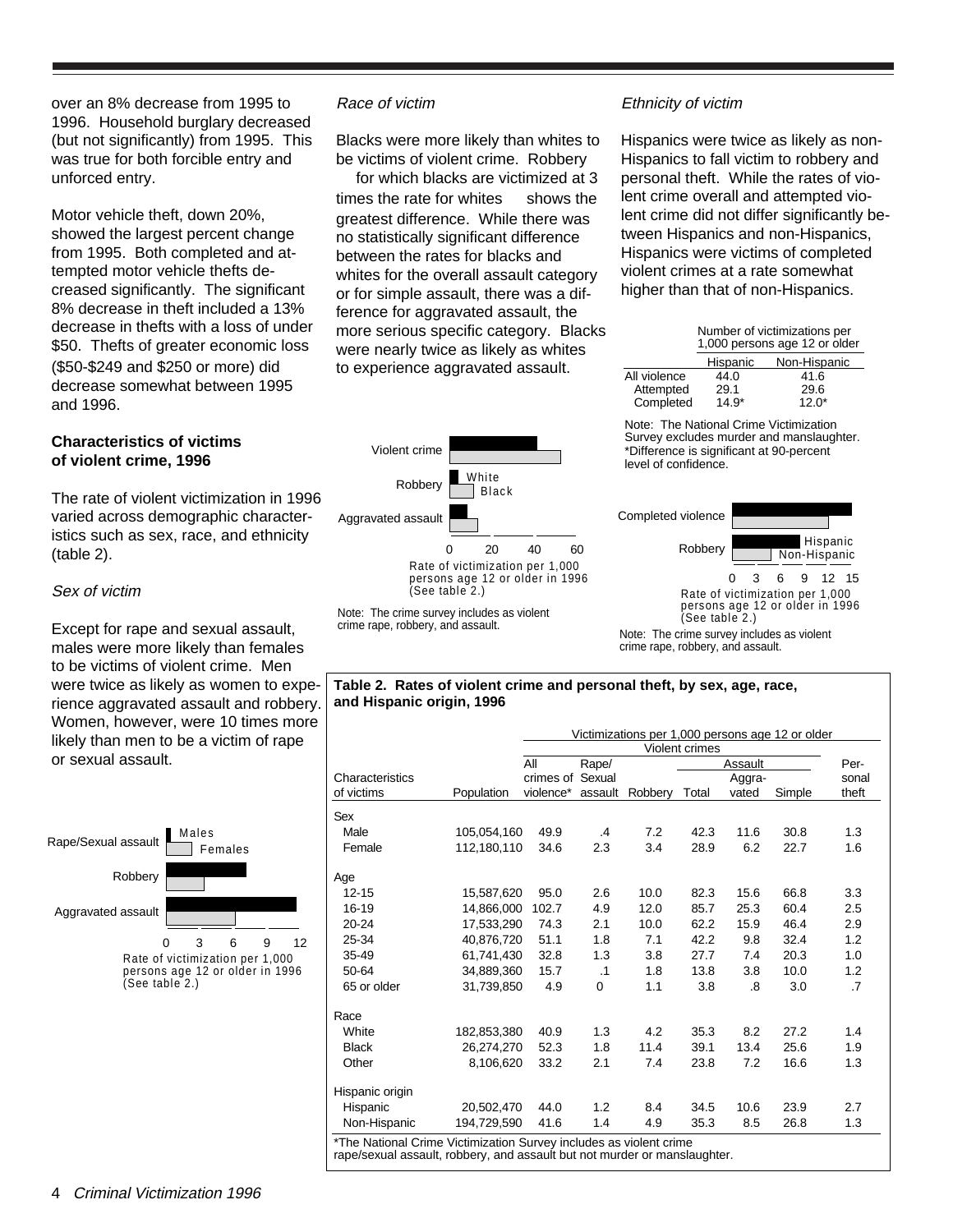over an 8% decrease from 1995 to 1996. Household burglary decreased (but not significantly) from 1995. This was true for both forcible entry and unforced entry.

Motor vehicle theft, down 20%, showed the largest percent change from 1995. Both completed and attempted motor vehicle thefts decreased significantly. The significant 8% decrease in theft included a 13% decrease in thefts with a loss of under \$50. Thefts of greater economic loss (\$50-\$249 and \$250 or more) did decrease somewhat between 1995 and 1996.

#### **Characteristics of victims of violent crime, 1996**

The rate of violent victimization in 1996 varied across demographic characteristics such as sex, race, and ethnicity (table 2).

#### Sex of victim

Except for rape and sexual assault, males were more likely than females to be victims of violent crime. Men were twice as likely as women to experience aggravated assault and robbery. Women, however, were 10 times more likely than men to be a victim of rape or sexual assault.



#### Race of victim

Blacks were more likely than whites to be victims of violent crime. Robbery for which blacks are victimized at 3 times the rate for whites  $-$  shows the greatest difference. While there was no statistically significant difference between the rates for blacks and whites for the overall assault category or for simple assault, there was a difference for aggravated assault, the more serious specific category. Blacks were nearly twice as likely as whites to experience aggravated assault.





#### Ethnicity of victim

Hispanics were twice as likely as non-Hispanics to fall victim to robbery and personal theft. While the rates of violent crime overall and attempted violent crime did not differ significantly between Hispanics and non-Hispanics, Hispanics were victims of completed violent crimes at a rate somewhat higher than that of non-Hispanics.

| Number of victimizations per<br>1,000 persons age 12 or older |              |  |  |  |
|---------------------------------------------------------------|--------------|--|--|--|
| Hispanic                                                      | Non-Hispanic |  |  |  |
| 44.0                                                          | 41.6         |  |  |  |
| 29.1                                                          | 29.6         |  |  |  |
| $14.9*$                                                       | $12.0*$      |  |  |  |
|                                                               |              |  |  |  |

Note: The National Crime Victimization Survey excludes murder and manslaughter. \*Difference is significant at 90-percent level of confidence.



Rate of victimization per 1,000 persons age 12 or older in 1996 (See table 2.)

Note: The crime survey includes as violent crime rape, robbery, and assault.

#### **Table 2. Rates of violent crime and personal theft, by sex, age, race, and Hispanic origin, 1996**

|                                                                    |             |                  |             |         |       |         | Victimizations per 1,000 persons age 12 or older |       |
|--------------------------------------------------------------------|-------------|------------------|-------------|---------|-------|---------|--------------------------------------------------|-------|
|                                                                    |             | Violent crimes   |             |         |       |         |                                                  |       |
|                                                                    |             | All              | Rape/       |         |       | Assault |                                                  | Per-  |
| Characteristics                                                    |             | crimes of Sexual |             |         |       | Aggra-  |                                                  | sonal |
| of victims                                                         | Population  | violence*        | assault     | Robbery | Total | vated   | Simple                                           | theft |
| Sex                                                                |             |                  |             |         |       |         |                                                  |       |
| Male                                                               | 105,054,160 | 49.9             | $\cdot$     | 7.2     | 42.3  | 11.6    | 30.8                                             | 1.3   |
| Female                                                             | 112,180,110 | 34.6             | 2.3         | 3.4     | 28.9  | 6.2     | 22.7                                             | 1.6   |
| Age                                                                |             |                  |             |         |       |         |                                                  |       |
| $12 - 15$                                                          | 15,587,620  | 95.0             | 2.6         | 10.0    | 82.3  | 15.6    | 66.8                                             | 3.3   |
| 16-19                                                              | 14,866,000  | 102.7            | 4.9         | 12.0    | 85.7  | 25.3    | 60.4                                             | 2.5   |
| $20 - 24$                                                          | 17,533,290  | 74.3             | 2.1         | 10.0    | 62.2  | 15.9    | 46.4                                             | 2.9   |
| 25-34                                                              | 40.876.720  | 51.1             | 1.8         | 7.1     | 42.2  | 9.8     | 32.4                                             | 1.2   |
| 35-49                                                              | 61,741,430  | 32.8             | 1.3         | 3.8     | 27.7  | 7.4     | 20.3                                             | 1.0   |
| 50-64                                                              | 34,889,360  | 15.7             | $\cdot$ 1   | 1.8     | 13.8  | 3.8     | 10.0                                             | 1.2   |
| 65 or older                                                        | 31,739,850  | 4.9              | $\mathbf 0$ | 1.1     | 3.8   | .8      | 3.0                                              | .7    |
| Race                                                               |             |                  |             |         |       |         |                                                  |       |
| White                                                              | 182,853,380 | 40.9             | 1.3         | 4.2     | 35.3  | 8.2     | 27.2                                             | 1.4   |
| <b>Black</b>                                                       | 26,274,270  | 52.3             | 1.8         | 11.4    | 39.1  | 13.4    | 25.6                                             | 1.9   |
| Other                                                              | 8,106,620   | 33.2             | 2.1         | 7.4     | 23.8  | 7.2     | 16.6                                             | 1.3   |
| Hispanic origin                                                    |             |                  |             |         |       |         |                                                  |       |
| Hispanic                                                           | 20,502,470  | 44.0             | 1.2         | 8.4     | 34.5  | 10.6    | 23.9                                             | 2.7   |
| Non-Hispanic                                                       | 194,729,590 | 41.6             | 1.4         | 4.9     | 35.3  | 8.5     | 26.8                                             | 1.3   |
| *The National Crime Victimization Survey includes as violent crime |             |                  |             |         |       |         |                                                  |       |

rape/sexual assault, robbery, and assault but not murder or manslaughter.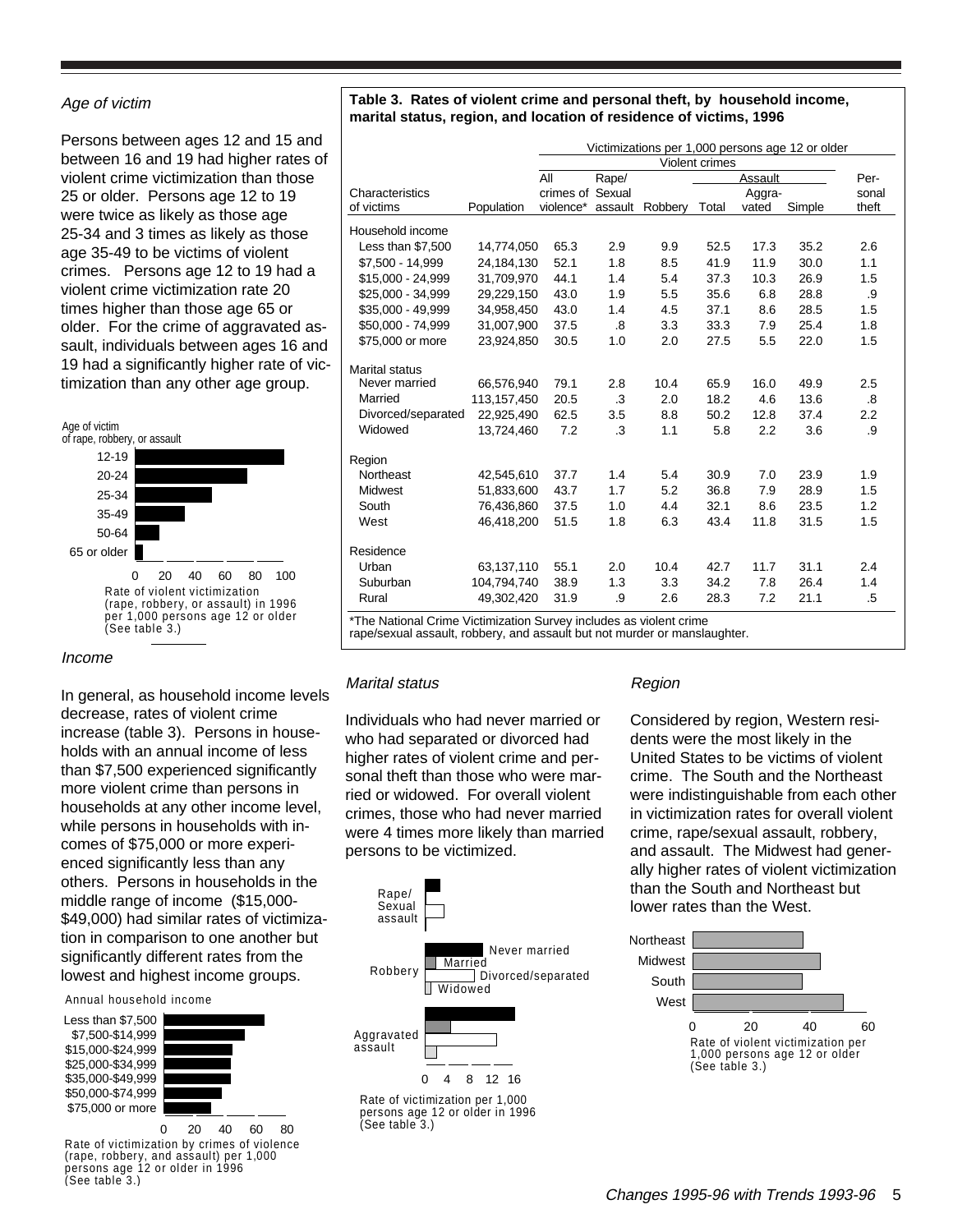#### Age of victim

Persons between ages 12 and 15 and between 16 and 19 had higher rates of violent crime victimization than those 25 or older. Persons age 12 to 19 were twice as likely as those age 25-34 and 3 times as likely as those age 35-49 to be victims of violent crimes. Persons age 12 to 19 had a violent crime victimization rate 20 times higher than those age 65 or older. For the crime of aggravated assault, individuals between ages 16 and 19 had a significantly higher rate of victimization than any other age group.



#### Income

In general, as household income levels decrease, rates of violent crime increase (table 3). Persons in households with an annual income of less than \$7,500 experienced significantly more violent crime than persons in households at any other income level, while persons in households with incomes of \$75,000 or more experienced significantly less than any others. Persons in households in the middle range of income (\$15,000- \$49,000) had similar rates of victimization in comparison to one another but significantly different rates from the lowest and highest income groups.

#### Annual household income

Less than \$7,500 \$7,500-\$14,999 \$15,000-\$24,999 \$25,000-\$34,999 \$35,000-\$49,999 \$50,000-\$74,999 \$75,000 or more



0 20 40 60 80 Rate of victimization by crimes of violence (rape, robbery, and assault) per 1,000 persons age 12 or older in 1996 (See table 3.)

#### **Table 3. Rates of violent crime and personal theft, by household income, marital status, region, and location of residence of victims, 1996**

|                       |             |                  |         |         |                |         | Victimizations per 1,000 persons age 12 or older |       |
|-----------------------|-------------|------------------|---------|---------|----------------|---------|--------------------------------------------------|-------|
|                       |             |                  |         |         | Violent crimes |         |                                                  |       |
|                       |             | All              | Rape/   |         |                | Assault |                                                  | Per-  |
| Characteristics       |             | crimes of Sexual |         |         |                | Aggra-  |                                                  | sonal |
| of victims            | Population  | violence*        | assault | Robbery | Total          | vated   | Simple                                           | theft |
| Household income      |             |                  |         |         |                |         |                                                  |       |
| Less than \$7,500     | 14,774,050  | 65.3             | 2.9     | 9.9     | 52.5           | 17.3    | 35.2                                             | 2.6   |
| \$7.500 - 14.999      | 24.184.130  | 52.1             | 1.8     | 8.5     | 41.9           | 11.9    | 30.0                                             | 1.1   |
| \$15.000 - 24.999     | 31.709.970  | 44.1             | 1.4     | 5.4     | 37.3           | 10.3    | 26.9                                             | 1.5   |
| \$25,000 - 34,999     | 29,229,150  | 43.0             | 1.9     | 5.5     | 35.6           | 6.8     | 28.8                                             | .9    |
| \$35,000 - 49,999     | 34,958,450  | 43.0             | 1.4     | 4.5     | 37.1           | 8.6     | 28.5                                             | 1.5   |
| \$50,000 - 74,999     | 31,007,900  | 37.5             | .8      | 3.3     | 33.3           | 7.9     | 25.4                                             | 1.8   |
| \$75,000 or more      | 23,924,850  | 30.5             | 1.0     | 2.0     | 27.5           | 5.5     | 22.0                                             | 1.5   |
| <b>Marital status</b> |             |                  |         |         |                |         |                                                  |       |
| Never married         | 66,576,940  | 79.1             | 2.8     | 10.4    | 65.9           | 16.0    | 49.9                                             | 2.5   |
| Married               | 113,157,450 | 20.5             | .3      | 2.0     | 18.2           | 4.6     | 13.6                                             | .8    |
| Divorced/separated    | 22,925,490  | 62.5             | 3.5     | 8.8     | 50.2           | 12.8    | 37.4                                             | 2.2   |
| Widowed               | 13,724,460  | 7.2              | .3      | 1.1     | 5.8            | 2.2     | 3.6                                              | .9    |
| Region                |             |                  |         |         |                |         |                                                  |       |
| Northeast             | 42,545,610  | 37.7             | 1.4     | 5.4     | 30.9           | 7.0     | 23.9                                             | 1.9   |
| Midwest               | 51,833,600  | 43.7             | 1.7     | 5.2     | 36.8           | 7.9     | 28.9                                             | 1.5   |
| South                 | 76,436,860  | 37.5             | 1.0     | 4.4     | 32.1           | 8.6     | 23.5                                             | 1.2   |
| West                  | 46,418,200  | 51.5             | 1.8     | 6.3     | 43.4           | 11.8    | 31.5                                             | 1.5   |
| Residence             |             |                  |         |         |                |         |                                                  |       |
| Urban                 | 63,137,110  | 55.1             | 2.0     | 10.4    | 42.7           | 11.7    | 31.1                                             | 2.4   |
| Suburban              | 104,794,740 | 38.9             | 1.3     | 3.3     | 34.2           | 7.8     | 26.4                                             | 1.4   |
| Rural                 | 49,302,420  | 31.9             | .9      | 2.6     | 28.3           | 7.2     | 21.1                                             | .5    |

\*The National Crime Victimization Survey includes as violent crime

rape/sexual assault, robbery, and assault but not murder or manslaughter.

#### Marital status

Individuals who had never married or who had separated or divorced had higher rates of violent crime and personal theft than those who were married or widowed. For overall violent crimes, those who had never married were 4 times more likely than married persons to be victimized.



#### Rate of victimization per 1,000 persons age 12 or older in 1996 (See table 3.)

#### Region

Considered by region, Western residents were the most likely in the United States to be victims of violent crime. The South and the Northeast were indistinguishable from each other in victimization rates for overall violent crime, rape/sexual assault, robbery, and assault. The Midwest had generally higher rates of violent victimization than the South and Northeast but lower rates than the West.

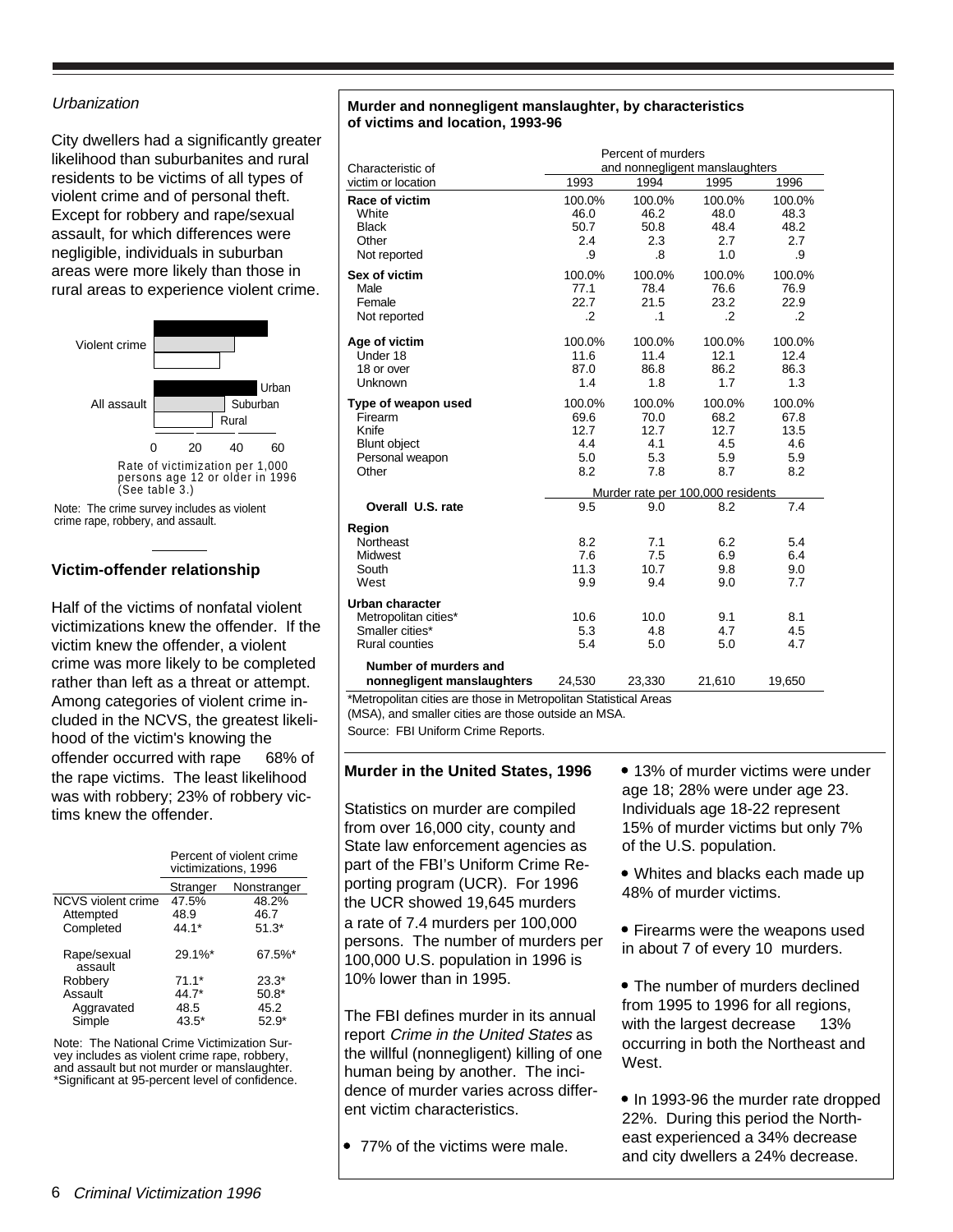#### **Urbanization**

City dwellers had a significantly greater likelihood than suburbanites and rural residents to be victims of all types of violent crime and of personal theft. Except for robbery and rape/sexual assault, for which differences were negligible, individuals in suburban areas were more likely than those in rural areas to experience violent crime.



crime rape, robbery, and assault.

#### **Victim-offender relationship**

Half of the victims of nonfatal violent victimizations knew the offender. If the victim knew the offender, a violent crime was more likely to be completed rather than left as a threat or attempt. Among categories of violent crime included in the NCVS, the greatest likelihood of the victim's knowing the offender occurred with rape  $-68%$  of the rape victims. The least likelihood was with robbery; 23% of robbery victims knew the offender.

|                        | Percent of violent crime<br>victimizations, 1996 |             |  |
|------------------------|--------------------------------------------------|-------------|--|
|                        | Stranger                                         | Nonstranger |  |
| NCVS violent crime     | 47.5%                                            | 48.2%       |  |
| Attempted              | 48.9                                             | 46.7        |  |
| Completed              | 44.1*                                            | $51.3*$     |  |
| Rape/sexual<br>assault | 29.1%*                                           | 67.5%*      |  |
| Robbery                | $71.1*$                                          | $23.3*$     |  |
| Assault                | 44.7*                                            | $50.8*$     |  |
| Aggravated             | 48.5                                             | 45.2        |  |
| Simple                 | 43.5*                                            | $52.9*$     |  |

Note: The National Crime Victimization Survey includes as violent crime rape, robbery, and assault but not murder or manslaughter. \*Significant at 95-percent level of confidence.

#### **Murder and nonnegligent manslaughter, by characteristics of victims and location, 1993-96**

| Characteristic of                                                                          | Percent of murders<br>and nonnegligent manslaughters |                                             |                                                                                  |                                             |  |
|--------------------------------------------------------------------------------------------|------------------------------------------------------|---------------------------------------------|----------------------------------------------------------------------------------|---------------------------------------------|--|
| victim or location                                                                         | 1993                                                 | 1994                                        | 1995                                                                             | 1996                                        |  |
| Race of victim<br>White<br><b>Black</b><br>Other<br>Not reported                           | 100.0%<br>46.0<br>50.7<br>2.4<br>.9                  | 100.0%<br>46.2<br>50.8<br>2.3<br>.8         | 100.0%<br>48.0<br>48.4<br>2.7<br>1.0                                             | 100.0%<br>48.3<br>48.2<br>2.7<br>.9         |  |
| Sex of victim<br>Male<br>Female<br>Not reported                                            | 100.0%<br>77.1<br>22.7<br>$\cdot$                    | 100.0%<br>78.4<br>21.5<br>$\cdot$ 1         | 100.0%<br>76.6<br>23.2<br>$\cdot$                                                | 100.0%<br>76.9<br>22.9<br>$\cdot$           |  |
| Age of victim<br>Under 18<br>18 or over<br>Unknown                                         | 100.0%<br>11.6<br>87.0<br>1.4                        | 100.0%<br>11.4<br>86.8<br>1.8               | 100.0%<br>12.1<br>86.2<br>1.7                                                    | 100.0%<br>12.4<br>86.3<br>1.3               |  |
| Type of weapon used<br>Firearm<br>Knife<br><b>Blunt object</b><br>Personal weapon<br>Other | 100.0%<br>69.6<br>12.7<br>4.4<br>5.0<br>8.2          | 100.0%<br>70.0<br>12.7<br>4.1<br>5.3<br>7.8 | 100.0%<br>68.2<br>12.7<br>4.5<br>5.9<br>8.7<br>Murder rate per 100,000 residents | 100.0%<br>67.8<br>13.5<br>4.6<br>5.9<br>8.2 |  |
| Overall U.S. rate                                                                          | 9.5                                                  | 9.0                                         | 8.2                                                                              | 7.4                                         |  |
| Region<br>Northeast<br>Midwest<br>South<br>West                                            | 8.2<br>7.6<br>11.3<br>9.9                            | 7.1<br>7.5<br>10.7<br>9.4                   | 6.2<br>6.9<br>9.8<br>9.0                                                         | 5.4<br>6.4<br>9.0<br>7.7                    |  |
| Urban character<br>Metropolitan cities*<br>Smaller cities*<br><b>Rural counties</b>        | 10.6<br>5.3<br>5.4                                   | 10.0<br>4.8<br>5.0                          | 9.1<br>4.7<br>5.0                                                                | 8.1<br>4.5<br>4.7                           |  |
| Number of murders and<br>nonnegligent manslaughters                                        | 24,530                                               | 23,330                                      | 21,610                                                                           | 19,650                                      |  |

\*Metropolitan cities are those in Metropolitan Statistical Areas

(MSA), and smaller cities are those outside an MSA.

Source: FBI Uniform Crime Reports.

#### **Murder in the United States, 1996**

Statistics on murder are compiled from over 16,000 city, county and State law enforcement agencies as part of the FBI's Uniform Crime Reporting program (UCR). For 1996 the UCR showed 19,645 murders a rate of 7.4 murders per 100,000 persons. The number of murders per 100,000 U.S. population in 1996 is 10% lower than in 1995.

The FBI defines murder in its annual report Crime in the United States as the willful (nonnegligent) killing of one human being by another. The incidence of murder varies across different victim characteristics.

77% of the victims were male.

• 13% of murder victims were under age 18; 28% were under age 23. Individuals age 18-22 represent 15% of murder victims but only 7% of the U.S. population.

 Whites and blacks each made up 48% of murder victims.

 Firearms were the weapons used in about 7 of every 10 murders.

• The number of murders declined from 1995 to 1996 for all regions, with the largest decrease  $-13%$ occurring in both the Northeast and West.

• In 1993-96 the murder rate dropped 22%. During this period the Northeast experienced a 34% decrease and city dwellers a 24% decrease.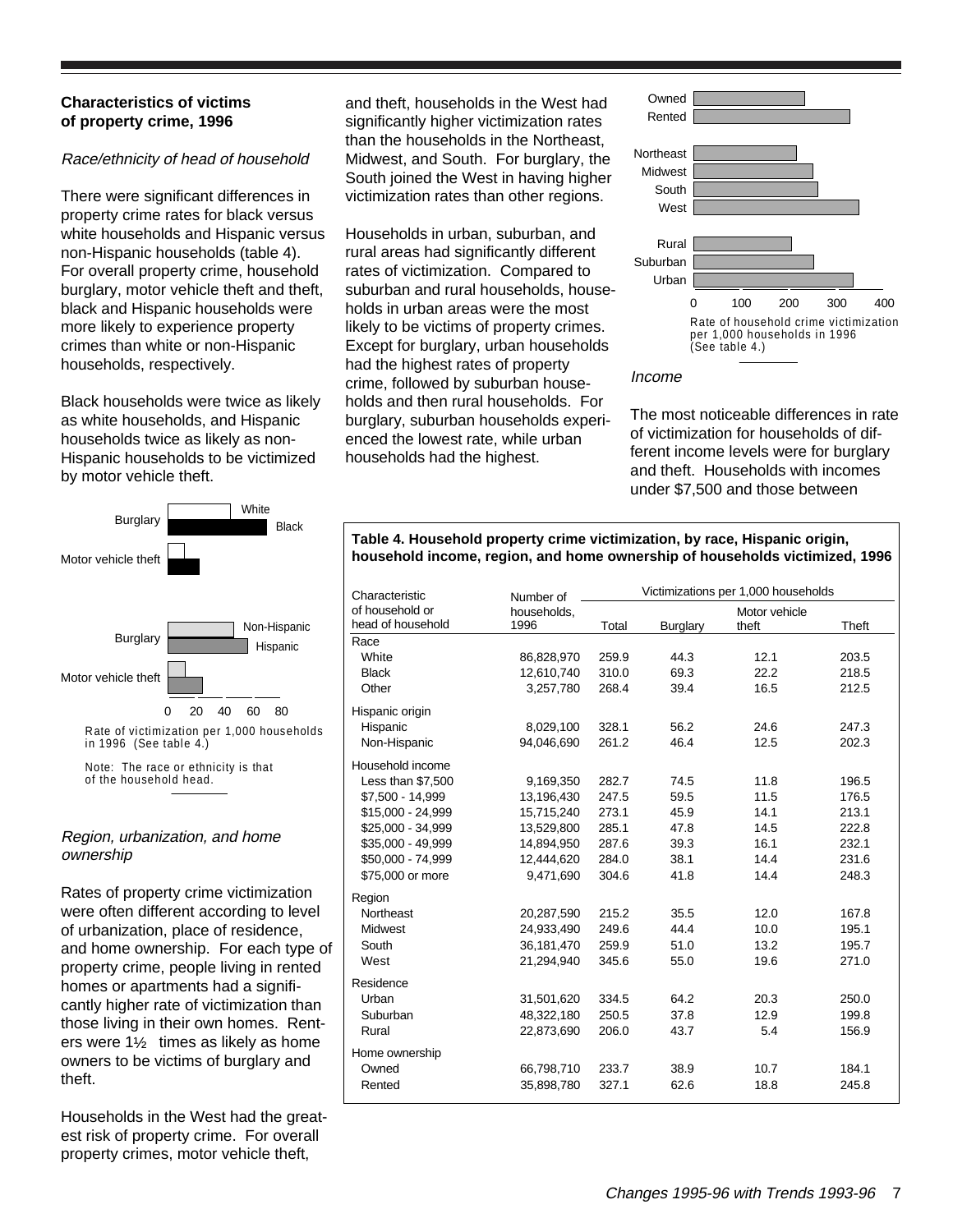#### **Characteristics of victims of property crime, 1996**

#### Race/ethnicity of head of household

There were significant differences in property crime rates for black versus white households and Hispanic versus non-Hispanic households (table 4). For overall property crime, household burglary, motor vehicle theft and theft, black and Hispanic households were more likely to experience property crimes than white or non-Hispanic households, respectively.

Black households were twice as likely as white households, and Hispanic households twice as likely as non-Hispanic households to be victimized by motor vehicle theft.



in 1996 (See table 4.)

Note: The race or ethnicity is that of the household head.

#### Region, urbanization, and home ownership

Rates of property crime victimization were often different according to level of urbanization, place of residence, and home ownership. For each type of property crime, people living in rented homes or apartments had a significantly higher rate of victimization than those living in their own homes. Renters were  $1\frac{1}{2}$  times as likely as home owners to be victims of burglary and theft.

Households in the West had the greatest risk of property crime. For overall property crimes, motor vehicle theft,

and theft, households in the West had significantly higher victimization rates than the households in the Northeast, Midwest, and South. For burglary, the South joined the West in having higher victimization rates than other regions.

Households in urban, suburban, and rural areas had significantly different rates of victimization. Compared to suburban and rural households, households in urban areas were the most likely to be victims of property crimes. Except for burglary, urban households had the highest rates of property crime, followed by suburban households and then rural households. For burglary, suburban households experienced the lowest rate, while urban households had the highest.



#### Income

The most noticeable differences in rate of victimization for households of different income levels were for burglary and theft. Households with incomes under \$7,500 and those between

#### **Table 4. Household property crime victimization, by race, Hispanic origin, household income, region, and home ownership of households victimized, 1996**

| Characteristic    | Number of   |       |          | Victimizations per 1,000 households |       |
|-------------------|-------------|-------|----------|-------------------------------------|-------|
| of household or   | households. |       |          | Motor vehicle                       |       |
| head of household | 1996        | Total | Burglary | theft                               | Theft |
| Race              |             |       |          |                                     |       |
| White             | 86,828,970  | 259.9 | 44.3     | 12.1                                | 203.5 |
| <b>Black</b>      | 12,610,740  | 310.0 | 69.3     | 22.2                                | 218.5 |
| Other             | 3,257,780   | 268.4 | 39.4     | 16.5                                | 212.5 |
| Hispanic origin   |             |       |          |                                     |       |
| Hispanic          | 8,029,100   | 328.1 | 56.2     | 24.6                                | 247.3 |
| Non-Hispanic      | 94,046,690  | 261.2 | 46.4     | 12.5                                | 202.3 |
| Household income  |             |       |          |                                     |       |
| Less than \$7,500 | 9,169,350   | 282.7 | 74.5     | 11.8                                | 196.5 |
| \$7.500 - 14.999  | 13.196.430  | 247.5 | 59.5     | 11.5                                | 176.5 |
| \$15,000 - 24,999 | 15,715,240  | 273.1 | 45.9     | 14.1                                | 213.1 |
| \$25,000 - 34,999 | 13,529,800  | 285.1 | 47.8     | 14.5                                | 222.8 |
| \$35,000 - 49,999 | 14,894,950  | 287.6 | 39.3     | 16.1                                | 232.1 |
| \$50,000 - 74,999 | 12,444,620  | 284.0 | 38.1     | 14.4                                | 231.6 |
| \$75,000 or more  | 9,471,690   | 304.6 | 41.8     | 14.4                                | 248.3 |
| Region            |             |       |          |                                     |       |
| Northeast         | 20,287,590  | 215.2 | 35.5     | 12.0                                | 167.8 |
| Midwest           | 24,933,490  | 249.6 | 44.4     | 10.0                                | 195.1 |
| South             | 36,181,470  | 259.9 | 51.0     | 13.2                                | 195.7 |
| West              | 21,294,940  | 345.6 | 55.0     | 19.6                                | 271.0 |
| Residence         |             |       |          |                                     |       |
| Urban             | 31,501,620  | 334.5 | 64.2     | 20.3                                | 250.0 |
| Suburban          | 48,322,180  | 250.5 | 37.8     | 12.9                                | 199.8 |
| Rural             | 22,873,690  | 206.0 | 43.7     | 5.4                                 | 156.9 |
| Home ownership    |             |       |          |                                     |       |
| Owned             | 66,798,710  | 233.7 | 38.9     | 10.7                                | 184.1 |
| Rented            | 35,898,780  | 327.1 | 62.6     | 18.8                                | 245.8 |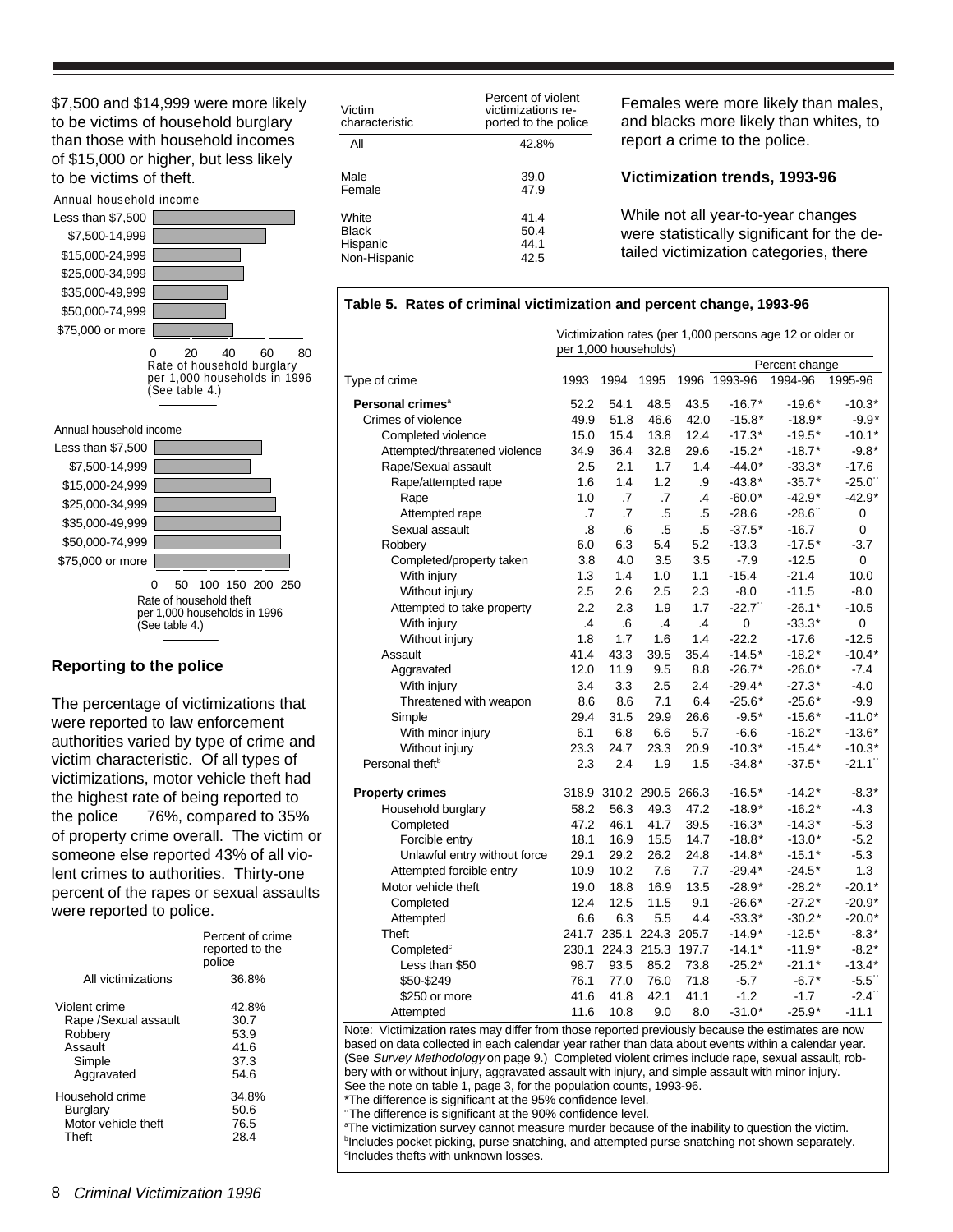\$7,500 and \$14,999 were more likely to be victims of household burglary than those with household incomes of \$15,000 or higher, but less likely to be victims of theft.

#### Annual household income Less than \$7,500



0 20 40 60 80<br>Rate of household burglary per 1,000 households in 1996 (See table 4.)

#### Annual household income



#### **Reporting to the police**

The percentage of victimizations that were reported to law enforcement authorities varied by type of crime and victim characteristic. Of all types of victimizations, motor vehicle theft had the highest rate of being reported to the police  $-76%$ , compared to 35% of property crime overall. The victim or someone else reported 43% of all violent crimes to authorities. Thirty-one percent of the rapes or sexual assaults were reported to police.

|                      | Percent of crime<br>reported to the<br>police |
|----------------------|-----------------------------------------------|
| All victimizations   | 36.8%                                         |
| Violent crime        | 42.8%                                         |
| Rape /Sexual assault | 30.7                                          |
| Robbery              | 53.9                                          |
| Assault              | 41.6                                          |
| Simple               | 37.3                                          |
| Aggravated           | 54.6                                          |
| Household crime      | 34.8%                                         |
| <b>Burglary</b>      | 50.6                                          |
| Motor vehicle theft  | 76.5                                          |
| Theft                | 28.4                                          |

| Victim<br>characteristic | Percent of violent<br>victimizations re-<br>ported to the police |
|--------------------------|------------------------------------------------------------------|
| All                      | 42.8%                                                            |
| Male                     | 39.0                                                             |
| Female                   | 47.9                                                             |
| White                    | 41.4                                                             |
| <b>Black</b>             | 50.4                                                             |
| Hispanic                 | 44.1                                                             |
| Non-Hispanic             | 42.5                                                             |

Females were more likely than males, and blacks more likely than whites, to report a crime to the police.

#### **Victimization trends, 1993-96**

While not all year-to-year changes were statistically significant for the detailed victimization categories, there

#### Victimization rates (per 1,000 persons age 12 or older or per 1,000 households) Percent change Type of crime 1993 1994 1995 1996 1993-96 1994-96 1995-96 **Personal crimes**<sup>a</sup> 52.2 54.1 48.5 43.5 -16.7\* -19.6\* -10.3\* Crimes of violence 49.9 51.8 46.6 42.0 -15.8\* -18.9\* -9.9\* Completed violence 15.0 15.4 13.8 12.4 -17.3\* -19.5\* -10.1\* Attempted/threatened violence 34.9 36.4 32.8 29.6 -15.2\* -18.7\* -9.8\* Rape/Sexual assault 2.5 2.1 1.7 1.4 -44.0\* -33.3\* -17.6 Rape/attempted rape 1.6 1.4 1.2 .9 -43.8\* -35.7\* -25.0<br>Rape 1.0 .7 .7 .4 -60.0\* -42.9\* -42.9\* Rape 1.0 .7 .7 .4 -60.0\* -42.9\* -42.9\* Attempted rape .7 .7 .5 .5 -28.6 -28.6\*\* <sup>0</sup> Sexual assault .8 .6 .5 .5 -37.5\* -16.7 0 Robbery 6.0 6.3 5.4 5.2 -13.3 -17.5\* -3.7 Completed/property taken 3.8 4.0 3.5 3.5 -7.9 -12.5 0 With injury 1.3 1.4 1.0 1.1 -15.4 -21.4 10.0 Without injury 2.5 2.6 2.5 2.3 -8.0 -11.5 -8.0 Attempted to take property 2.2 2.3 1.9 1.7 -22.7 -26.1\* -10.5 With injury .4 .6 .4 .4 0 -33.3\* 0 Without injury 1.8 1.7 1.6 1.4 -22.2 -17.6 -12.5 Assault 41.4 43.3 39.5 35.4 -14.5\* -18.2\* -10.4\* Aggravated 12.0 11.9 9.5 8.8 -26.7\* -26.0\* -7.4 With injury 3.4 3.3 2.5 2.4 -29.4\* -27.3\* -4.0 Threatened with weapon 8.6 8.6 7.1 6.4 -25.6\* -25.6\* -9.9 Simple 29.4 31.5 29.9 26.6 -9.5\* -15.6\* -11.0\* With minor injury 6.1 6.8 6.6 5.7 -6.6 -16.2\* -13.6\* Without injury 23.3 24.7 23.3 20.9 -10.3\* -15.4\* -10.3\* Personal theft<sup>b</sup> 2.3 2.4 1.9 1.5 -34.8\* -37.5\* -21.1<sup>\*</sup> **Property crimes** 318.9 310.2 290.5 266.3 -16.5\* -14.2\* -8.3\* Household burglary 58.2 56.3 49.3 47.2 -18.9\* -16.2\* -4.3 Completed 47.2 46.1 41.7 39.5 -16.3\* -14.3\* -5.3 Forcible entry 18.1 16.9 15.5 14.7 -18.8\* -13.0\* -5.2 Unlawful entry without force 29.1 29.2 26.2 24.8 -14.8\* -15.1\* -5.3 Attempted forcible entry 10.9 10.2 7.6 7.7 -29.4\* -24.5\* 1.3 Motor vehicle theft 19.0 18.8 16.9 13.5 -28.9\* -28.2\* -20.1\* Completed 12.4 12.5 11.5 9.1 -26.6\* -27.2\* -20.9\* Attempted 6.6 6.3 5.5 4.4 -33.3\* -30.2\* -20.0\* Theft 241.7 235.1 224.3 205.7 -14.9\* -12.5\* -8.3\* Completed<sup>c</sup> 230.1 224.3 215.3 197.7 -14.1\* -11.9\* -8.2\* Less than \$50 98.7 93.5 85.2 73.8 -25.2\* -21.1\* -13.4\* \$50-\$249 76.1 77.0 76.0 71.8 -5.7 -6.7\* -5.5\*\* \$250 or more 41.6 41.8 42.1 41.1 -1.2 -1.7 -2.4\*\* Attempted 11.6 10.8 9.0 8.0 -31.0\* -25.9\* -11.1

**Table 5. Rates of criminal victimization and percent change, 1993-96**

Note: Victimization rates may differ from those reported previously because the estimates are now based on data collected in each calendar year rather than data about events within a calendar year. (See Survey Methodology on page 9.) Completed violent crimes include rape, sexual assault, robbery with or without injury, aggravated assault with injury, and simple assault with minor injury. See the note on table 1, page 3, for the population counts, 1993-96.

\*The difference is significant at the 95% confidence level.

'The difference is significant at the 90% confidence level.

<sup>a</sup>The victimization survey cannot measure murder because of the inability to question the victim. <sup>b</sup>Includes pocket picking, purse snatching, and attempted purse snatching not shown separately. c Includes thefts with unknown losses.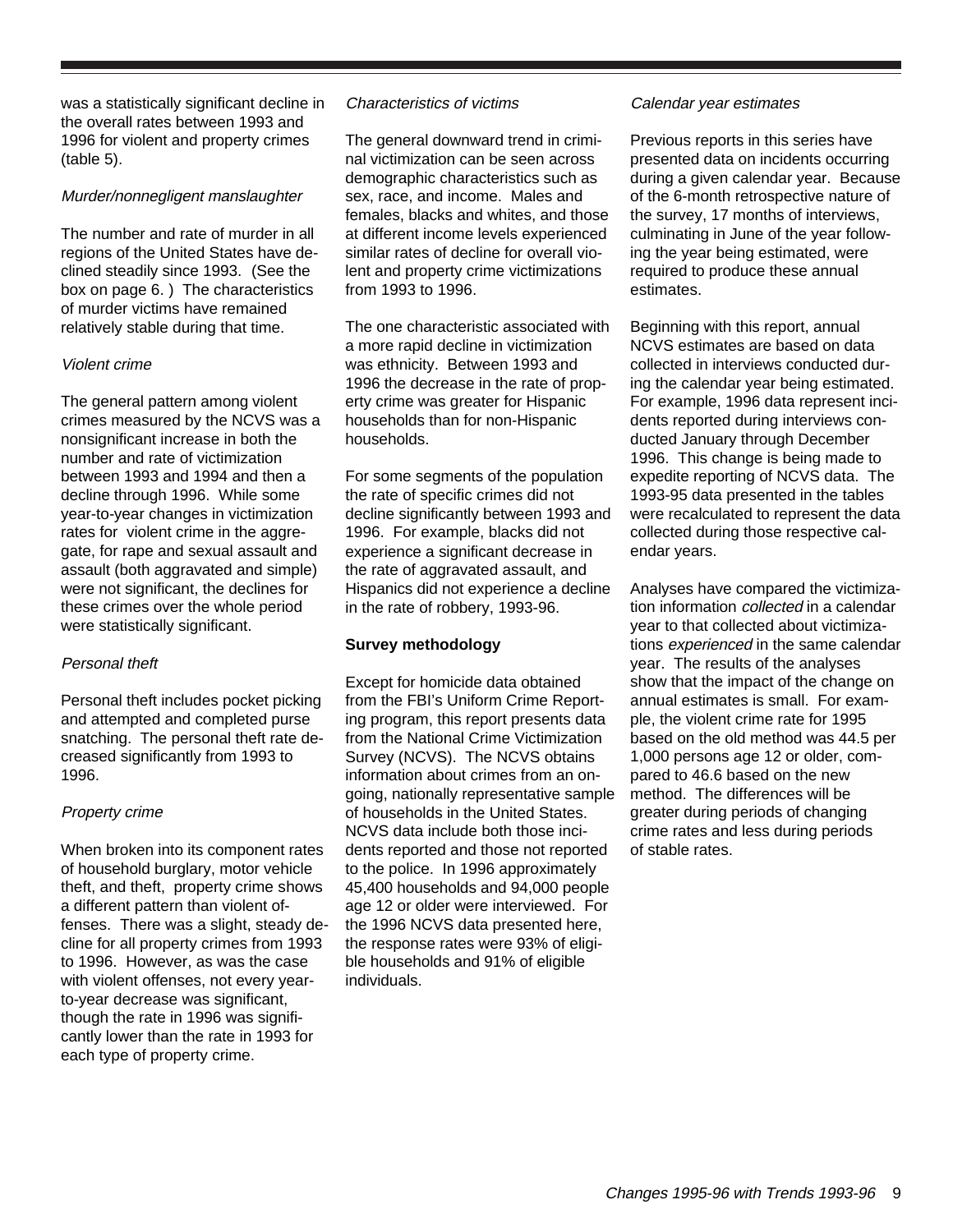was a statistically significant decline in the overall rates between 1993 and 1996 for violent and property crimes (table 5).

#### Murder/nonnegligent manslaughter

The number and rate of murder in all regions of the United States have declined steadily since 1993. (See the box on page 6. ) The characteristics of murder victims have remained relatively stable during that time.

#### Violent crime

The general pattern among violent crimes measured by the NCVS was a nonsignificant increase in both the number and rate of victimization between 1993 and 1994 and then a decline through 1996. While some year-to-year changes in victimization rates for violent crime in the aggregate, for rape and sexual assault and assault (both aggravated and simple) were not significant, the declines for these crimes over the whole period were statistically significant.

#### Personal theft

Personal theft includes pocket picking and attempted and completed purse snatching. The personal theft rate decreased significantly from 1993 to 1996.

#### Property crime

When broken into its component rates of household burglary, motor vehicle theft, and theft, property crime shows a different pattern than violent offenses. There was a slight, steady decline for all property crimes from 1993 to 1996. However, as was the case with violent offenses, not every yearto-year decrease was significant, though the rate in 1996 was significantly lower than the rate in 1993 for each type of property crime.

#### Characteristics of victims

The general downward trend in criminal victimization can be seen across demographic characteristics such as sex, race, and income. Males and females, blacks and whites, and those at different income levels experienced similar rates of decline for overall violent and property crime victimizations from 1993 to 1996.

The one characteristic associated with a more rapid decline in victimization was ethnicity. Between 1993 and 1996 the decrease in the rate of property crime was greater for Hispanic households than for non-Hispanic households.

For some segments of the population the rate of specific crimes did not decline significantly between 1993 and 1996. For example, blacks did not experience a significant decrease in the rate of aggravated assault, and Hispanics did not experience a decline in the rate of robbery, 1993-96.

#### **Survey methodology**

Except for homicide data obtained from the FBI's Uniform Crime Reporting program, this report presents data from the National Crime Victimization Survey (NCVS). The NCVS obtains information about crimes from an ongoing, nationally representative sample of households in the United States. NCVS data include both those incidents reported and those not reported to the police. In 1996 approximately 45,400 households and 94,000 people age 12 or older were interviewed. For the 1996 NCVS data presented here, the response rates were 93% of eligible households and 91% of eligible individuals.

#### Calendar year estimates

Previous reports in this series have presented data on incidents occurring during a given calendar year. Because of the 6-month retrospective nature of the survey, 17 months of interviews, culminating in June of the year following the year being estimated, were required to produce these annual estimates.

Beginning with this report, annual NCVS estimates are based on data collected in interviews conducted during the calendar year being estimated. For example, 1996 data represent incidents reported during interviews conducted January through December 1996. This change is being made to expedite reporting of NCVS data. The 1993-95 data presented in the tables were recalculated to represent the data collected during those respective calendar years.

Analyses have compared the victimization information collected in a calendar year to that collected about victimizations experienced in the same calendar year. The results of the analyses show that the impact of the change on annual estimates is small. For example, the violent crime rate for 1995 based on the old method was 44.5 per 1,000 persons age 12 or older, compared to 46.6 based on the new method. The differences will be greater during periods of changing crime rates and less during periods of stable rates.